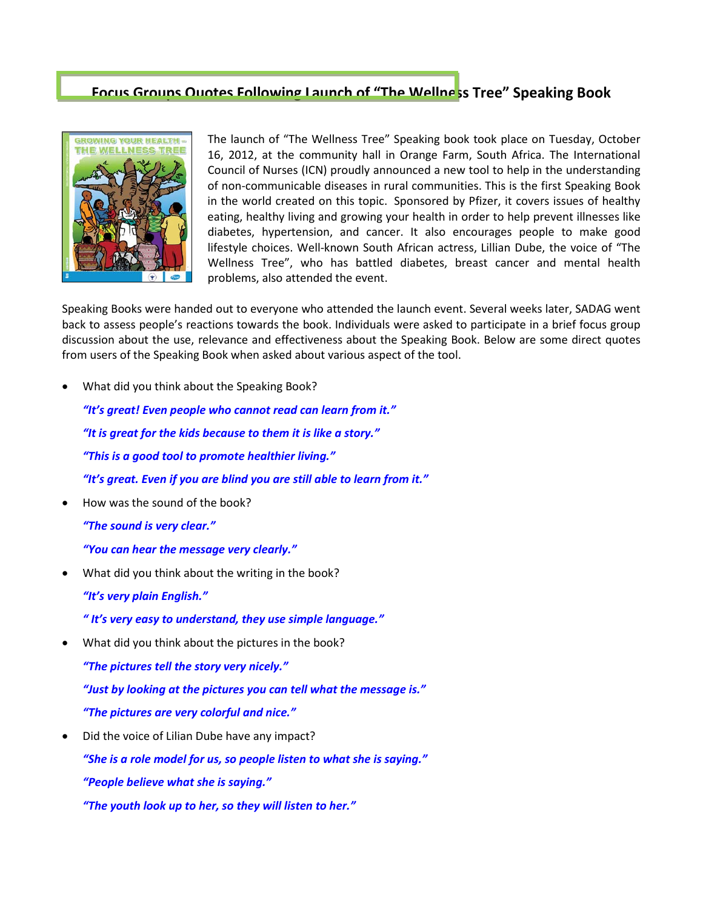## **Focus Groups Quotes Following Launch of "The Wellness Tree" Speaking Book**



The launch of "The Wellness Tree" Speaking book took place on Tuesday, October 16, 2012, at the community hall in Orange Farm, South Africa. The International Council of Nurses (ICN) proudly announced a new tool to help in the understanding of non-communicable diseases in rural communities. This is the first Speaking Book in the world created on this topic. Sponsored by Pfizer, it covers issues of healthy eating, healthy living and growing your health in order to help prevent illnesses like diabetes, hypertension, and cancer. It also encourages people to make good lifestyle choices. Well-known South African actress, Lillian Dube, the voice of "The Wellness Tree", who has battled diabetes, breast cancer and mental health problems, also attended the event.

Speaking Books were handed out to everyone who attended the launch event. Several weeks later, SADAG went back to assess people's reactions towards the book. Individuals were asked to participate in a brief focus group discussion about the use, relevance and effectiveness about the Speaking Book. Below are some direct quotes from users of the Speaking Book when asked about various aspect of the tool.

• What did you think about the Speaking Book?

*"It's great! Even people who cannot read can learn from it." "It is great for the kids because to them it is like a story." "This is a good tool to promote healthier living." "It's great. Even if you are blind you are still able to learn from it."*

• How was the sound of the book?

*"The sound is very clear."*

*"You can hear the message very clearly."*

• What did you think about the writing in the book? *"It's very plain English."*

*" It's very easy to understand, they use simple language."*

What did you think about the pictures in the book?

*"The pictures tell the story very nicely." "Just by looking at the pictures you can tell what the message is." "The pictures are very colorful and nice."*

• Did the voice of Lilian Dube have any impact? *"She is a role model for us, so people listen to what she is saying." "People believe what she is saying." "The youth look up to her, so they will listen to her."*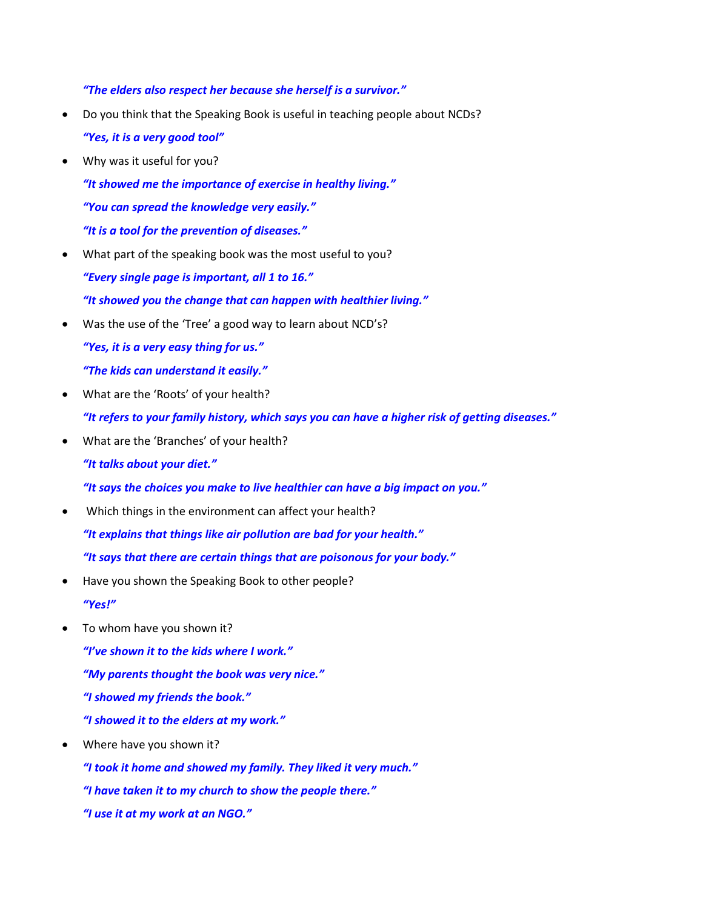*"The elders also respect her because she herself is a survivor."*

- Do you think that the Speaking Book is useful in teaching people about NCDs? *"Yes, it is a very good tool"*
- Why was it useful for you?

*"It showed me the importance of exercise in healthy living." "You can spread the knowledge very easily." "It is a tool for the prevention of diseases."*

• What part of the speaking book was the most useful to you?

*"Every single page is important, all 1 to 16."*

*"It showed you the change that can happen with healthier living."*

Was the use of the 'Tree' a good way to learn about NCD's?

*"Yes, it is a very easy thing for us."*

*"The kids can understand it easily."*

• What are the 'Roots' of your health?

*"It refers to your family history, which says you can have a higher risk of getting diseases."*

• What are the 'Branches' of your health?

*"It talks about your diet."*

*"It says the choices you make to live healthier can have a big impact on you."*

- Which things in the environment can affect your health? *"It explains that things like air pollution are bad for your health." "It says that there are certain things that are poisonous for your body."*
- Have you shown the Speaking Book to other people? *"Yes!"*
- To whom have you shown it?

*"I've shown it to the kids where I work." "My parents thought the book was very nice." "I showed my friends the book." "I showed it to the elders at my work."*

• Where have you shown it?

*"I took it home and showed my family. They liked it very much."*

- *"I have taken it to my church to show the people there."*
- *"I use it at my work at an NGO."*